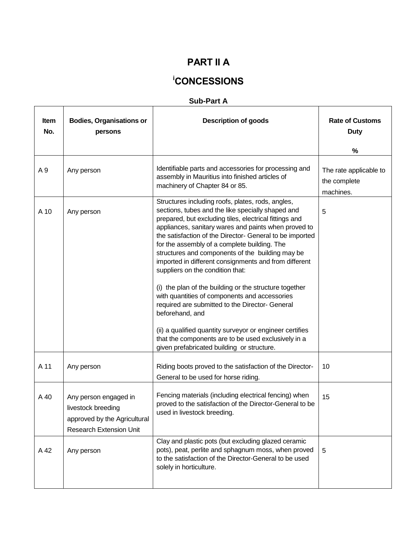## **PART II A**

# **<sup>i</sup>CONCESSIONS**

### **Sub-Part A**

| Item<br>No. | <b>Bodies, Organisations or</b><br>persons                                                                    | <b>Description of goods</b>                                                                                                                                                                                                                                                                                                                                                                                                                                                                                                                                                                                                                                                                                                                                                                                                             | <b>Rate of Customs</b><br><b>Duty</b><br>%          |
|-------------|---------------------------------------------------------------------------------------------------------------|-----------------------------------------------------------------------------------------------------------------------------------------------------------------------------------------------------------------------------------------------------------------------------------------------------------------------------------------------------------------------------------------------------------------------------------------------------------------------------------------------------------------------------------------------------------------------------------------------------------------------------------------------------------------------------------------------------------------------------------------------------------------------------------------------------------------------------------------|-----------------------------------------------------|
| A 9         | Any person                                                                                                    | Identifiable parts and accessories for processing and<br>assembly in Mauritius into finished articles of<br>machinery of Chapter 84 or 85.                                                                                                                                                                                                                                                                                                                                                                                                                                                                                                                                                                                                                                                                                              | The rate applicable to<br>the complete<br>machines. |
| A 10        | Any person                                                                                                    | Structures including roofs, plates, rods, angles,<br>sections, tubes and the like specially shaped and<br>prepared, but excluding tiles, electrical fittings and<br>appliances, sanitary wares and paints when proved to<br>the satisfaction of the Director- General to be imported<br>for the assembly of a complete building. The<br>structures and components of the building may be<br>imported in different consignments and from different<br>suppliers on the condition that:<br>(i) the plan of the building or the structure together<br>with quantities of components and accessories<br>required are submitted to the Director- General<br>beforehand, and<br>(ii) a qualified quantity surveyor or engineer certifies<br>that the components are to be used exclusively in a<br>given prefabricated building or structure. | 5                                                   |
| A 11        | Any person                                                                                                    | Riding boots proved to the satisfaction of the Director-<br>General to be used for horse riding.                                                                                                                                                                                                                                                                                                                                                                                                                                                                                                                                                                                                                                                                                                                                        | 10                                                  |
| A 40        | Any person engaged in<br>livestock breeding<br>approved by the Agricultural<br><b>Research Extension Unit</b> | Fencing materials (including electrical fencing) when<br>proved to the satisfaction of the Director-General to be<br>used in livestock breeding.                                                                                                                                                                                                                                                                                                                                                                                                                                                                                                                                                                                                                                                                                        | 15                                                  |
| A 42        | Any person                                                                                                    | Clay and plastic pots (but excluding glazed ceramic<br>pots), peat, perlite and sphagnum moss, when proved<br>to the satisfaction of the Director-General to be used<br>solely in horticulture.                                                                                                                                                                                                                                                                                                                                                                                                                                                                                                                                                                                                                                         | 5                                                   |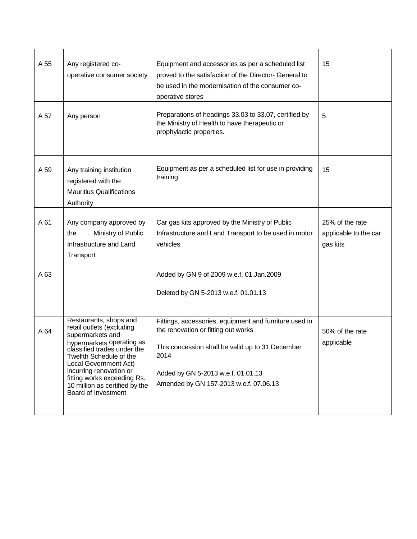| A 55 | Any registered co-<br>operative consumer society                                                                                                                                                                                                                                                           | Equipment and accessories as per a scheduled list<br>proved to the satisfaction of the Director- General to<br>be used in the modernisation of the consumer co-<br>operative stores                                                       | 15                                                   |
|------|------------------------------------------------------------------------------------------------------------------------------------------------------------------------------------------------------------------------------------------------------------------------------------------------------------|-------------------------------------------------------------------------------------------------------------------------------------------------------------------------------------------------------------------------------------------|------------------------------------------------------|
| A 57 | Any person                                                                                                                                                                                                                                                                                                 | Preparations of headings 33.03 to 33.07, certified by<br>the Ministry of Health to have therapeutic or<br>prophylactic properties.                                                                                                        | 5                                                    |
| A 59 | Any training institution<br>registered with the<br><b>Mauritius Qualifications</b><br>Authority                                                                                                                                                                                                            | Equipment as per a scheduled list for use in providing<br>training.                                                                                                                                                                       | 15                                                   |
| A 61 | Any company approved by<br>Ministry of Public<br>the<br>Infrastructure and Land<br>Transport                                                                                                                                                                                                               | Car gas kits approved by the Ministry of Public<br>Infrastructure and Land Transport to be used in motor<br>vehicles                                                                                                                      | 25% of the rate<br>applicable to the car<br>gas kits |
| A 63 |                                                                                                                                                                                                                                                                                                            | Added by GN 9 of 2009 w.e.f. 01.Jan.2009<br>Deleted by GN 5-2013 w.e.f. 01.01.13                                                                                                                                                          |                                                      |
| A 64 | Restaurants, shops and<br>retail outlets (excluding<br>supermarkets and<br>hypermarkets operating as<br>classified trades under the<br>Twelfth Schedule of the<br>Local Government Act)<br>incurring renovation or<br>fitting works exceeding Rs.<br>10 million as certified by the<br>Board of Investment | Fittings, accessories, equipment and furniture used in<br>the renovation or fitting out works<br>This concession shall be valid up to 31 December<br>2014<br>Added by GN 5-2013 w.e.f. 01.01.13<br>Amended by GN 157-2013 w.e.f. 07.06.13 | 50% of the rate<br>applicable                        |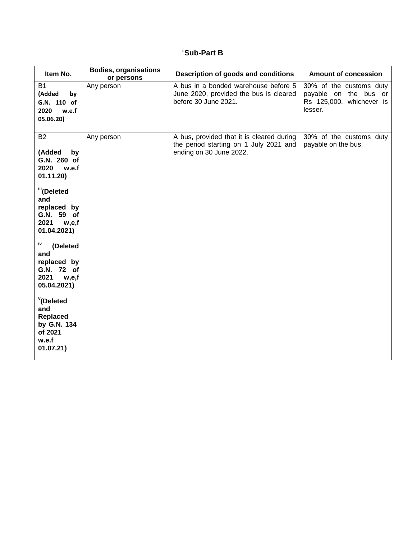## ii**Sub-Part B**

| Item No.                                                                                                                                                                                                                                                                                                                                          | <b>Bodies, organisations</b><br>or persons | Description of goods and conditions                                                                            | <b>Amount of concession</b>                                                             |
|---------------------------------------------------------------------------------------------------------------------------------------------------------------------------------------------------------------------------------------------------------------------------------------------------------------------------------------------------|--------------------------------------------|----------------------------------------------------------------------------------------------------------------|-----------------------------------------------------------------------------------------|
| B1<br>(Added<br>by<br>G.N. 110 of<br>2020<br>w.e.f<br>05.06.20)                                                                                                                                                                                                                                                                                   | Any person                                 | A bus in a bonded warehouse before 5<br>June 2020, provided the bus is cleared<br>before 30 June 2021.         | 30% of the customs duty<br>payable on the bus or<br>Rs 125,000, whichever is<br>lesser. |
| <b>B2</b><br>(Added<br>by<br>G.N. 260 of<br>2020<br>w.e.f<br>01.11.20<br>ill(Deleted<br>and<br>replaced by<br>G.N. 59 of<br>2021<br>w,e,f<br>01.04.2021)<br>iv<br>(Deleted<br>and<br>replaced by<br>G.N. 72 of<br>2021<br>w,e,f<br>05.04.2021)<br><sup>v</sup> (Deleted<br>and<br><b>Replaced</b><br>by G.N. 134<br>of 2021<br>w.e.f<br>01.07.21) | Any person                                 | A bus, provided that it is cleared during<br>the period starting on 1 July 2021 and<br>ending on 30 June 2022. | 30% of the customs duty<br>payable on the bus.                                          |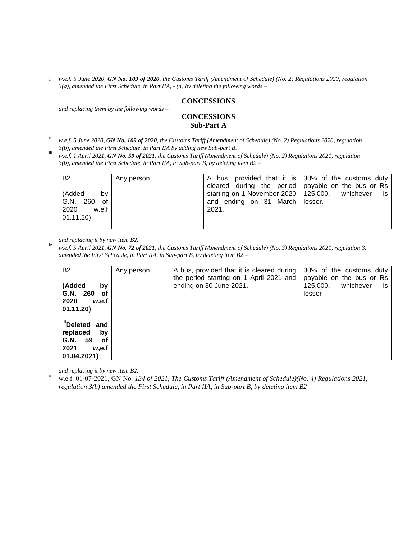#### **CONCESSIONS**

*and replacing them by the following words –*

 $\overline{a}$ 

### **CONCESSIONS Sub-Part A**

ii *w.e.f. 5 June 2020, GN No. 109 of 2020, the Customs Tariff (Amendment of Schedule) (No. 2) Regulations 2020, regulation 3(b), amended the First Schedule, in Part IIA by adding new Sub-part B.*

iii *w.e.f. 1 April 2021, GN No. 59 of 2021, the Customs Tariff (Amendment of Schedule) (No. 2) Regulations 2021, regulation 3(b), amended the First Schedule, in Part IIA, in Sub-part B, by deleting item B2 –*

| <b>B2</b>                       | Any person | A bus, provided that it is 30% of the customs duty                                                       |      |
|---------------------------------|------------|----------------------------------------------------------------------------------------------------------|------|
| (Added<br>bv                    |            | cleared during the period   payable on the bus or Rs<br>starting on 1 November 2020   125,000, whichever | is i |
| G.N. 260<br>of<br>2020<br>w.e.f |            | and ending on 31 March   lesser.<br>2021.                                                                |      |
| 01.11.20                        |            |                                                                                                          |      |

*and replacing it by new item B2.*

iv *w.e.f. 5 April 2021, GN No. 72 of 2021, the Customs Tariff (Amendment of Schedule) (No. 3) Regulations 2021, regulation 3, amended the First Schedule, in Part IIA, in Sub-part B, by deleting item B2 –*

| <b>B2</b><br>(Added<br>by<br>G.N. 260<br>0f<br>2020<br>w.e.f<br>01.11.20)                   | Any person | A bus, provided that it is cleared during<br>the period starting on 1 April 2021 and<br>ending on 30 June 2021. | 30% of the customs duty<br>payable on the bus or Rs<br>whichever<br>125,000,<br>is<br>lesser |
|---------------------------------------------------------------------------------------------|------------|-----------------------------------------------------------------------------------------------------------------|----------------------------------------------------------------------------------------------|
| illDeleted and<br>replaced<br>by<br>59<br>G.N.<br><b>of</b><br>2021<br>w.e.f<br>01.04.2021) |            |                                                                                                                 |                                                                                              |

*and replacing it by new item B2.*

<sup>v</sup> w.e.f. 01-07-2021*,* GN No*. 134 of 2021, The Customs Tariff (Amendment of Schedule)(No. 4) Regulations 2021, regulation 3(b) amended the First Schedule, in Part IIA, in Sub-part B, by deleting item B2–*

i *w.e.f. 5 June 2020, GN No. 109 of 2020, the Customs Tariff (Amendment of Schedule) (No. 2) Regulations 2020, regulation 3(a), amended the First Schedule, in Part IIA, - (a) by deleting the following words –*